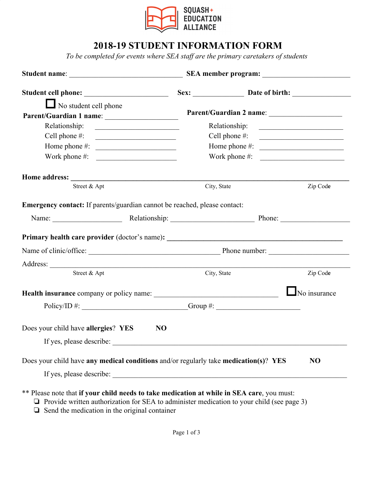

## **2018-19 STUDENT INFORMATION FORM**

*To be completed for events where SEA staff are the primary caretakers of students*

| $\Box$ No student cell phone                                                                                                                                                                                                                                                                                             |                |                               |                                                                                                                     |
|--------------------------------------------------------------------------------------------------------------------------------------------------------------------------------------------------------------------------------------------------------------------------------------------------------------------------|----------------|-------------------------------|---------------------------------------------------------------------------------------------------------------------|
|                                                                                                                                                                                                                                                                                                                          |                |                               |                                                                                                                     |
| Relationship:<br><u> 1980 - Johann Stoff, fransk politik (d. 1980)</u>                                                                                                                                                                                                                                                   |                | Relationship:                 | <u> 1980 - Andrea Albert III, politik eta politik eta politik eta politik eta politik eta politik eta politik e</u> |
| Cell phone $\#$ :                                                                                                                                                                                                                                                                                                        |                | Cell phone $#$ :              | <u> Alexandria (m. 1888)</u>                                                                                        |
| Home phone $\#$ :                                                                                                                                                                                                                                                                                                        |                | Home phone #: $\qquad \qquad$ |                                                                                                                     |
| Work phone $\#$ :                                                                                                                                                                                                                                                                                                        |                | Work phone #: $\qquad \qquad$ |                                                                                                                     |
| Home address: Note that the set of the set of the set of the set of the set of the set of the set of the set of the set of the set of the set of the set of the set of the set of the set of the set of the set of the set of                                                                                            |                |                               |                                                                                                                     |
| Street & Apt                                                                                                                                                                                                                                                                                                             | City, State    |                               | Zip Code                                                                                                            |
| Name: <u>Name:</u> Relationship: Relationship: Phone: Name: Name: Name: Name: Name: Name: Name: Name: Name: Name: Name: Name: Name: Name: Name: Name: Name: Name: Name: Name: Name: Name: Name: Name: Name: Name: Name: Name: Name:<br>Primary health care provider (doctor's name): ___________________________________ |                |                               |                                                                                                                     |
|                                                                                                                                                                                                                                                                                                                          |                |                               |                                                                                                                     |
|                                                                                                                                                                                                                                                                                                                          |                |                               |                                                                                                                     |
| Street & Apt                                                                                                                                                                                                                                                                                                             | City, State    |                               | Zip Code                                                                                                            |
|                                                                                                                                                                                                                                                                                                                          |                |                               | $\Box$ No insurance                                                                                                 |
| Policy/ID #: $\_\_\_\_\_\_$                                                                                                                                                                                                                                                                                              |                |                               |                                                                                                                     |
| Does your child have allergies? YES                                                                                                                                                                                                                                                                                      | N <sub>O</sub> |                               |                                                                                                                     |
|                                                                                                                                                                                                                                                                                                                          |                |                               |                                                                                                                     |
| Does your child have any medical conditions and/or regularly take medication(s)? YES                                                                                                                                                                                                                                     |                |                               | N <sub>O</sub>                                                                                                      |
|                                                                                                                                                                                                                                                                                                                          |                |                               |                                                                                                                     |
|                                                                                                                                                                                                                                                                                                                          |                |                               |                                                                                                                     |

\*\* Please note that **if your child needs to take medication at while in SEA care**, you must:

❏ Provide written authorization for SEA to administer medication to your child (see page 3)

❏ Send the medication in the original container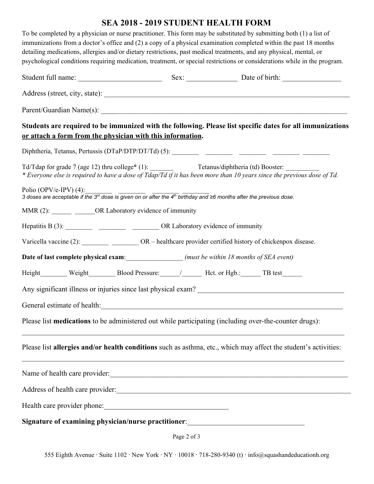## **SEA 2018 - 2019 STUDENT HEALTH FORM**

| detailing medications, allergies and/or dietary restrictions, past medical treatments, and any physical, mental, or                                                   |                                                                                                                       | To be completed by a physician or nurse practitioner. This form may be substituted by submitting both (1) a list of<br>immunizations from a doctor's office and (2) a copy of a physical examination completed within the past 18 months<br>psychological conditions requiring medication, treatment, or special restrictions or considerations while in the program. |
|-----------------------------------------------------------------------------------------------------------------------------------------------------------------------|-----------------------------------------------------------------------------------------------------------------------|-----------------------------------------------------------------------------------------------------------------------------------------------------------------------------------------------------------------------------------------------------------------------------------------------------------------------------------------------------------------------|
|                                                                                                                                                                       |                                                                                                                       |                                                                                                                                                                                                                                                                                                                                                                       |
|                                                                                                                                                                       |                                                                                                                       |                                                                                                                                                                                                                                                                                                                                                                       |
|                                                                                                                                                                       |                                                                                                                       |                                                                                                                                                                                                                                                                                                                                                                       |
| or attach a form from the physician with this information.                                                                                                            |                                                                                                                       | Students are required to be immunized with the following. Please list specific dates for all immunizations                                                                                                                                                                                                                                                            |
|                                                                                                                                                                       |                                                                                                                       |                                                                                                                                                                                                                                                                                                                                                                       |
| Td/Tdap for grade 7 (age 12) thru college* (1): Tetanus/diphtheria (td) Booster: ___________________                                                                  |                                                                                                                       | * Everyone else is required to have a dose of Tdap/Td if it has been more than 10 years since the previous dose of Td.                                                                                                                                                                                                                                                |
| Polio (OPV/e-IPV) (4):<br>3 doses are acceptable if the 3 <sup>rd</sup> dose is given on or after the 4 <sup>th</sup> birthday and ≥6 months after the previous dose. |                                                                                                                       |                                                                                                                                                                                                                                                                                                                                                                       |
| MMR (2): ________ ______OR Laboratory evidence of immunity                                                                                                            |                                                                                                                       |                                                                                                                                                                                                                                                                                                                                                                       |
|                                                                                                                                                                       |                                                                                                                       |                                                                                                                                                                                                                                                                                                                                                                       |
|                                                                                                                                                                       |                                                                                                                       |                                                                                                                                                                                                                                                                                                                                                                       |
| Date of last complete physical exam: ___________________(must be within 18 months of SEA event)                                                                       |                                                                                                                       |                                                                                                                                                                                                                                                                                                                                                                       |
| Height_________ Weight___________ Blood Pressure:_______/__________ Hct. or Hgb.:_______ TB test_______                                                               |                                                                                                                       |                                                                                                                                                                                                                                                                                                                                                                       |
|                                                                                                                                                                       |                                                                                                                       |                                                                                                                                                                                                                                                                                                                                                                       |
| General estimate of health:                                                                                                                                           | <u> 1989 - Johann Harry Harry Harry Harry Harry Harry Harry Harry Harry Harry Harry Harry Harry Harry Harry Harry</u> |                                                                                                                                                                                                                                                                                                                                                                       |
| Please list medications to be administered out while participating (including over-the-counter drugs):                                                                |                                                                                                                       |                                                                                                                                                                                                                                                                                                                                                                       |
|                                                                                                                                                                       |                                                                                                                       | Please list allergies and/or health conditions such as asthma, etc., which may affect the student's activities:<br><u> 1989 - Johann Barbara, marka masjid aka masjid aka masjid aka masjid aka masjid aka masjid aka masjid aka ma</u>                                                                                                                               |
|                                                                                                                                                                       |                                                                                                                       | Name of health care provider:                                                                                                                                                                                                                                                                                                                                         |
| Address of health care provider:                                                                                                                                      |                                                                                                                       |                                                                                                                                                                                                                                                                                                                                                                       |
| Health care provider phone:                                                                                                                                           |                                                                                                                       |                                                                                                                                                                                                                                                                                                                                                                       |
|                                                                                                                                                                       |                                                                                                                       |                                                                                                                                                                                                                                                                                                                                                                       |

Page 2 of 3